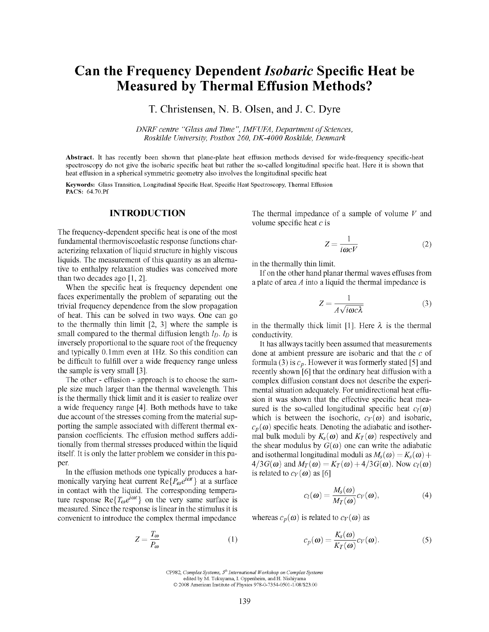# Can the Frequency Dependent *Isobaric* Specific Heat be Measured by Thermal Effusion Methods?

T. Christensen, N. B. Olsen, and J. C. Dyre

*DNRF centre "Glass and Time ", IMFUFA, Department of Sciences, Roskilde University, Postbox 260, DK-4000 Roskilde, Denmark* 

**Abstract.** It has recently been shown that plane-plate heat effusion methods devised for wide-frequency specific-heat spectroscopy do not give the isobaric specific heat but rather the so-called longitudinal specific heat. Here it is shown that heat effusion in a spherical symmetric geometry also involves the longitudinal specific heat

Keywords: Glass Transition, Longitudinal Specific Heat, Specific Heat Spectroscopy, Thermal Effusion PACS: 64.70.Pf

#### INTRODUCTION

The frequency-dependent specific heat is one of the most fundamental thermoviscoelastic response functions characterizing relaxation of liquid structure in highly viscous liquids. The measurement of this quantity as an alternative to enthalpy relaxation studies was conceived more than two decades ago [1, 2].

When the specific heat is frequency dependent one faces experimentally the problem of separating out the trivial frequency dependence from the slow propagation of heat. This can be solved in two ways. One can go to the thermally thin limit [2, 3] where the sample is small compared to the thermal diffusion length  $I_D$ .  $I_D$  is inversely proportional to the square root of the frequency and typically 0.1mm even at IHz. So this condition can be difficult to fulfill over a wide frequency range unless the sample is very small [3].

The other - effusion - approach is to choose the sample size much larger than the thermal wavelength. This is the thermally thick limit and it is easier to realize over a wide frequency range [4]. Both methods have to take due account of the stresses coming from the material supporting the sample associated with different thermal expansion coefficients. The effusion method suffers additionally from thermal stresses produced within the liquid itself. It is only the latter problem we consider in this paper.

In the effusion methods one typically produces a harmonically varying heat current  $\text{Re}\lbrace P_{\omega}e^{i\omega t}\rbrace$  at a surface in contact with the liquid. The corresponding temperature response  $\text{Re}\lbrace T_{\omega}e^{i\omega t}\rbrace$  on the very same surface is measured. Since the response is linear in the stimulus it is convenient to introduce the complex thermal impedance

$$
Z = \frac{T_{\omega}}{P_{\omega}}\tag{1}
$$

The thermal impedance of a sample of volume *V* and volume specific heat  $c$  is

$$
Z = \frac{1}{i\omega cV} \tag{2}
$$

in the thermally thin limit.

If on the other hand planar thermal waves effuses from a plate of area *A* into a liquid the thermal impedance is

$$
Z = \frac{1}{A\sqrt{i\omega c\lambda}}\tag{3}
$$

in the thermally thick limit [1]. Here  $\lambda$  is the thermal conductivity.

It has allways tacitly been assumed that measurements done at ambient pressure are isobaric and that the  $c$  of formula (3) is  $c_p$ . However it was formerly stated [5] and recently shown [6] that the ordinary heat diffusion with a complex diffusion constant does not describe the experimental situation adequately. For unidirectional heat effusion it was shown that the effective specific heat measured is the so-called longitudinal specific heat  $c_l(\omega)$ which is between the isochoric,  $c_V(\omega)$  and isobaric,  $c_p(\omega)$  specific heats. Denoting the adiabatic and isothermal bulk moduli by  $K_s(\omega)$  and  $K_T(\omega)$  respectively and the shear modulus by  $G(\omega)$  one can write the adiabatic and isothermal longitudinal moduli as  $M_s(\omega) = K_s(\omega) +$  $4/3G(\omega)$  and  $M_T(\omega) = K_T(\omega) + 4/3G(\omega)$ . Now  $c_l(\omega)$ is related to  $c_V(\omega)$  as [6]

$$
c_l(\boldsymbol{\omega}) = \frac{M_s(\boldsymbol{\omega})}{M_T(\boldsymbol{\omega})} c_V(\boldsymbol{\omega}), \qquad (4)
$$

whereas  $c_p(\omega)$  is related to  $c_v(\omega)$  as

$$
c_p(\boldsymbol{\omega}) = \frac{K_s(\boldsymbol{\omega})}{K_T(\boldsymbol{\omega})} c_V(\boldsymbol{\omega}).
$$
\n(5)

CP982, Complex Systems,  $5^{th}$  International Workshop on Complex Systems edited by M. Tokuyama, I. Oppenheim, and H. Nishiyama ©2008 American Institute of Physics 978-0-7354-0501-l/08/\$23.00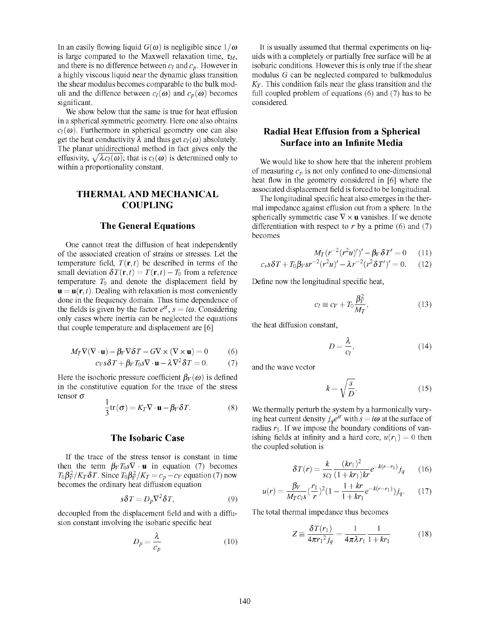In an easily flowing liquid  $G(\omega)$  is negligible since  $1/\omega$ is large compared to the Maxwell relaxation time,  $\tau_M$ , and there is no difference between  $c_l$  and  $c_p$ . However in a highly viscous liquid near the dynamic glass transition the shear modulus becomes comparable to the bulk moduli and the diffence between  $c_l(\omega)$  and  $c_p(\omega)$  becomes significant.

We show below that the same is true for heat effusion in a spherical symmetric geometry. Here one also obtains  $c_l(\omega)$ . Furthermore in spherical geometry one can also get the heat conductivity  $\lambda$  and thus get  $c_l(\omega)$  absolutely. The planar unidirectional method in fact gives only the effusivity,  $\sqrt{\lambda c_l(\omega)}$ ; that is  $c_l(\omega)$  is determined only to within a proportionality constant.

# THERMAL AND MECHANICAL COUPLING

## The General Equations

One cannot treat the diffusion of heat independently of the associated creation of strains or stresses. Let the temperature field,  $T(\mathbf{r},t)$  be described in terms of the small deviation  $\delta T(\mathbf{r},t) = T(\mathbf{r},t) - T_0$  from a reference temperature  $T_0$  and denote the displacement field by  $\mathbf{u} = \mathbf{u}(\mathbf{r}, t)$ . Dealing with relaxation is most conveniently done in the frequency domain. Thus time dependence of the fields is given by the factor  $e^{st}$ ,  $s = i\omega$ . Considering only cases where inertia can be neglected the equations that couple temperature and displacement are [6]

$$
M_T \nabla (\nabla \cdot \mathbf{u}) - \beta_V \nabla \delta T - G \nabla \times (\nabla \times \mathbf{u}) = 0 \tag{6}
$$

$$
c_V s \delta T + \beta_V T_0 s \nabla \cdot \mathbf{u} - \lambda \nabla^2 \delta T = 0. \tag{7}
$$

Here the isochoric pressure coefficient  $\beta_V(\omega)$  is defined in the constitutive equation for the trace of the stress tensor *o* 

$$
\frac{1}{3}\text{tr}(\boldsymbol{\sigma}) = K_T \nabla \cdot \mathbf{u} - \beta_V \delta T.
$$
 (8)

#### The Isobaric Case

If the trace of the stress tensor is constant in time then the term  $\beta_V T_0 s \nabla \cdot \mathbf{u}$  in equation (7) becomes  $T_0 \beta_V^2 / K_T \delta T$ . Since  $T_0 \beta_V^2 / K_T = c_p - c_V$  equation (7) now becomes the ordinary heat diffusion equation

$$
s\delta T = D_p \nabla^2 \delta T,\tag{9}
$$

decoupled from the displacement field and with a diffusion constant involving the isobaric specific heat

$$
D_p = \frac{\lambda}{c_p} \tag{10}
$$

It is usually assumed that thermal experiments on liquids with a completely or partially free surface will be at isobaric conditions. However this is only true if the shear modulus *G* can be neglected compared to bulkmodulus  $K_T$ . This condition fails near the glass transition and the full coupled problem of equations (6) and (7) has to be considered.

# Radial Heat Effusion from a Spherical Surface into an Infinite Media

We would like to show here that the inherent problem of measuring  $c_p$  is not only confined to one-dimensional heat flow in the geometry considered in [6] where the associated displacement field is forced to be longitudinal.

The longitudinal specific heat also emerges in the thermal impedance against effusion out from a sphere. In the spherically symmetric case  $\nabla \times \mathbf{u}$  vanishes. If we denote differentiation with respect to r by a prime (6) and (7) becomes

$$
M_T(r^{-2}(r^2u)')' - \beta_V \delta T' = 0 \qquad (11)
$$
  

$$
c_v s \delta T + T_0 \beta_V s r^{-2} (r^2 u)' - \lambda r^{-2} (r^2 \delta T')' = 0. \qquad (12)
$$

Define now the longitudinal specific heat,

$$
c_l \equiv c_V + T_0 \frac{\beta_V^2}{M_T},\tag{13}
$$

the heat diffusion constant.

$$
D = \frac{\lambda}{c_l},\tag{14}
$$

and the wave vector

$$
k = \sqrt{\frac{s}{D}}.\tag{15}
$$

We thermally perturb the system by a harmonically varying heat current density  $j_qe^{st}$  with  $s = i\omega$  at the surface of radius  $r_1$ . If we impose the boundary conditions of vanishing fields at infinity and a hard core,  $u(r_1) = 0$  then the coupled solution is

$$
\delta T(r) = \frac{k}{sc_l} \frac{(kr_1)^2}{(1+kr_1)kr} e^{-k(r-r_1)} j_q \qquad (16)
$$

$$
u(r) = \frac{\beta V}{M_T c_I s} (\frac{r_1}{r})^2 (1 - \frac{1 + kr}{1 + kr_1} e^{-k(r - r_1)}) j_q.
$$
 (17)

The total thermal impedance thus becomes

$$
Z \equiv \frac{\delta T(r_1)}{4\pi r_1^2 j_q} = \frac{1}{4\pi \lambda r_1} \frac{1}{1 + kr_1} \tag{18}
$$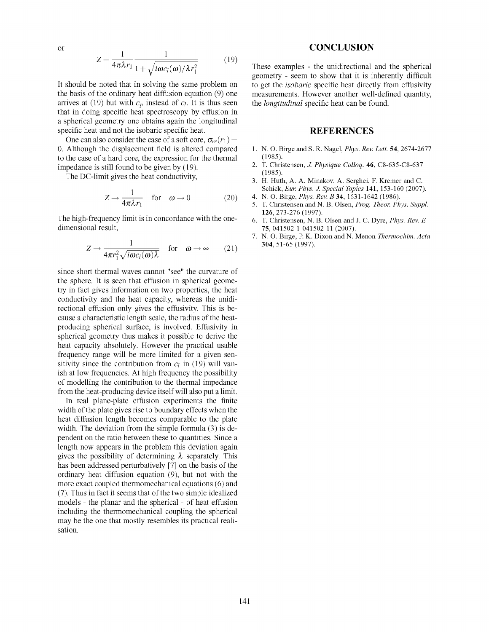or

$$
Z = \frac{1}{4\pi\lambda r_1} \frac{1}{1 + \sqrt{i\omega c_l(\omega)/\lambda r_1^2}}
$$
(19)

It should be noted that in solving the same problem on the basis of the ordinary heat diffusion equation (9) one arrives at (19) but with  $c_p$  instead of  $c_l$ . It is thus seen that in doing specific heat spectroscopy by effusion in a spherical geometry one obtains again the longitudinal specific heat and not the isobaric specific heat.

One can also consider the case of a soft core,  $\sigma_{rr}(r_1) =$ 0. Although the displacement field is altered compared to the case of a hard core, the expression for the thermal impedance is still found to be given by (19).

The DC-limit gives the heat conductivity.

$$
Z \to \frac{1}{4\pi\lambda r_1} \quad \text{for} \quad \omega \to 0 \tag{20}
$$

The high-frequency limit is in concordance with the onedimensional result.

$$
Z \to \frac{1}{4\pi r_1^2 \sqrt{i\omega c_l(\omega)\lambda}} \quad \text{for} \quad \omega \to \infty \qquad (21)
$$

since short thermal waves cannot "see" the curvature of the sphere. It is seen that effusion in spherical geometry in fact gives information on two properties, the heat conductivity and the heat capacity, whereas the unidirectional effusion only gives the effusivity. This is because a characteristic length scale, the radius of the heatproducing spherical surface, is involved. Effusivity in spherical geometry thus makes it possible to derive the heat capacity absolutely. However the practical usable frequency range will be more limited for a given sensitivity since the contribution from  $c_l$  in (19) will vanish at low frequencies. At high frequency the possibility of modelling the contribution to the thermal impedance from the heat-producing device itself will also put a limit.

In real plane-plate effusion experiments the finite width of the plate gives rise to boundary effects when the heat diffusion length becomes comparable to the plate width. The deviation from the simple formula (3) is dependent on the ratio between these to quantities. Since a length now appears in the problem this deviation again gives the possibility of determining  $\lambda$  separately. This has been addressed perturbatively [7] on the basis of the ordinary heat diffusion equation (9), but not with the more exact coupled thermomechanical equations (6) and (7). Thus in fact it seems that of the two simple idealized models - the planar and the spherical - of heat effusion including the thermomechanical coupling the spherical may be the one that mostly resembles its practical realisation.

#### **CONCLUSION**

These examples - the unidirectional and the spherical geometry - seem to show that it is inherently difficult to get the *isobaric* specific heat directly from effusivity measurements. However another well-defined quantity, the *longitudinal* specific heat can be found.

## REFERENCES

- 1. N. O. Birge and S. R. Nagel, *Phys. Rev. Lett.* 54, 2674-2677 (1985).
- 2. T. Christensen, *J. Physique Collog.* **46**, C8-635-C8-637 (1985).
- 3. H. Huth, A. A. Minakov, A. Serghei, F. Kremer and C. Schick, *Eur. Phys. J. Special Topics* **141,** 153-160 (2007).
- 4. N. O. Birge, *Phys. Rev. B* **34,** 1631-1642 (1986).
- 5. T. Christensen andN. B. Olsen, *Prog. Theor. Phys. Suppl.*  126,273-276(1997).
- 6. T. Christensen, N. B. Olsen and J. C. Dyre, *Phys. Rev. E*  75, 041502-1-041502-11 (2007).
- 7. N. O. Birge, P. K. Dixon andN. Menon *Thermochim. Acta*  **304,** 51-65 (1997).